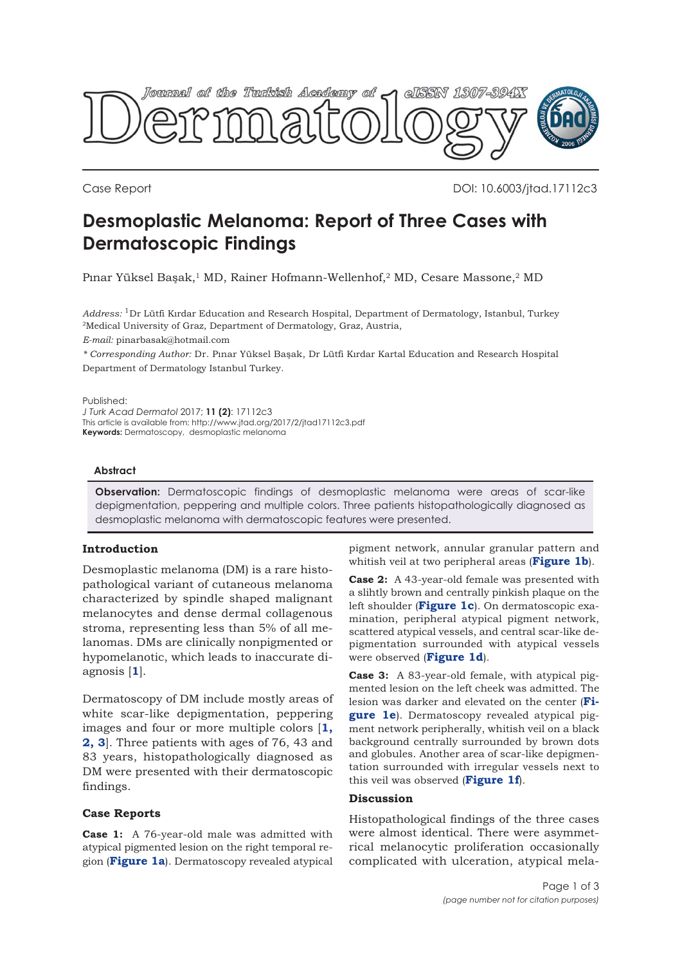

Case Report DOI: 10.6003/jtad.17112c3

# **Desmoplastic Melanoma: Report of Three Cases with Dermatoscopic Findings**

Pınar Yüksel Başak,<sup>1</sup> MD, Rainer Hofmann-Wellenhof,<sup>2</sup> MD, Cesare Massone,<sup>2</sup> MD

*Address:* 1Dr Lütfi Kırdar Education and Research Hospital, Department of Dermatology, Istanbul, Turkey 2Medical University of Graz, Department of Dermatology, Graz, Austria,

*E-mail:* pinarbasak@hotmail.com

*\* Corresponding Author:* Dr. Pınar Yüksel Başak, Dr Lütfi Kırdar Kartal Education and Research Hospital Department of Dermatology Istanbul Turkey.

Published:

*J Turk Acad Dermatol* 2017; **11 (2)**: 17112c3 This article is available from: http://www.jtad.org/2017/2/jtad17112c3.pdf **Keywords:** Dermatoscopy, desmoplastic melanoma

### **Abstract**

**Observation:** Dermatoscopic findings of desmoplastic melanoma were areas of scar-like depigmentation, peppering and multiple colors. Three patients histopathologically diagnosed as desmoplastic melanoma with dermatoscopic features were presented.

# **Introduction**

Desmoplastic melanoma (DM) is a rare histopathological variant of cutaneous melanoma characterized by spindle shaped malignant melanocytes and dense dermal collagenous stroma, representing less than 5% of all melanomas. DMs are clinically nonpigmented or hypomelanotic, which leads to inaccurate diagnosis [**1**].

Dermatoscopy of DM include mostly areas of white scar-like depigmentation, peppering images and four or more multiple colors [**[1](#page-1-0), [2,](#page-2-0) [3](#page-2-0)**]. Three patients with ages of 76, 43 and 83 years, histopathologically diagnosed as DM were presented with their dermatoscopic findings.

# **Case Reports**

**Case 1:**  A 76-year-old male was admitted with atypical pigmented lesion on the right temporal region (**[Figure 1a](#page-1-0)**). Dermatoscopy revealed atypical

pigment network, annular granular pattern and whitish veil at two peripheral areas (**[Figure 1b](#page-1-0)**).

**Case 2:** A 43-year-old female was presented with a slihtly brown and centrally pinkish plaque on the left shoulder (**[Figure 1c](#page-1-0)**). On dermatoscopic examination, peripheral atypical pigment network, scattered atypical vessels, and central scar-like depigmentation surrounded with atypical vessels were observed (**[Figure 1d](#page-1-0)**).

**Case 3:** A 83-year-old female, with atypical pigmented lesion on the left cheek was admitted. The [lesion was darker and elevated on the center \(](#page-1-0)**Figure 1e**). Dermatoscopy revealed atypical pigment network peripherally, whitish veil on a black background centrally surrounded by brown dots and globules. Another area of scar-like depigmentation surrounded with irregular vessels next to this veil was observed (**[Figure 1f](#page-1-0)**).

# **Discussion**

Histopathological findings of the three cases were almost identical. There were asymmetrical melanocytic proliferation occasionally complicated with ulceration, atypical mela-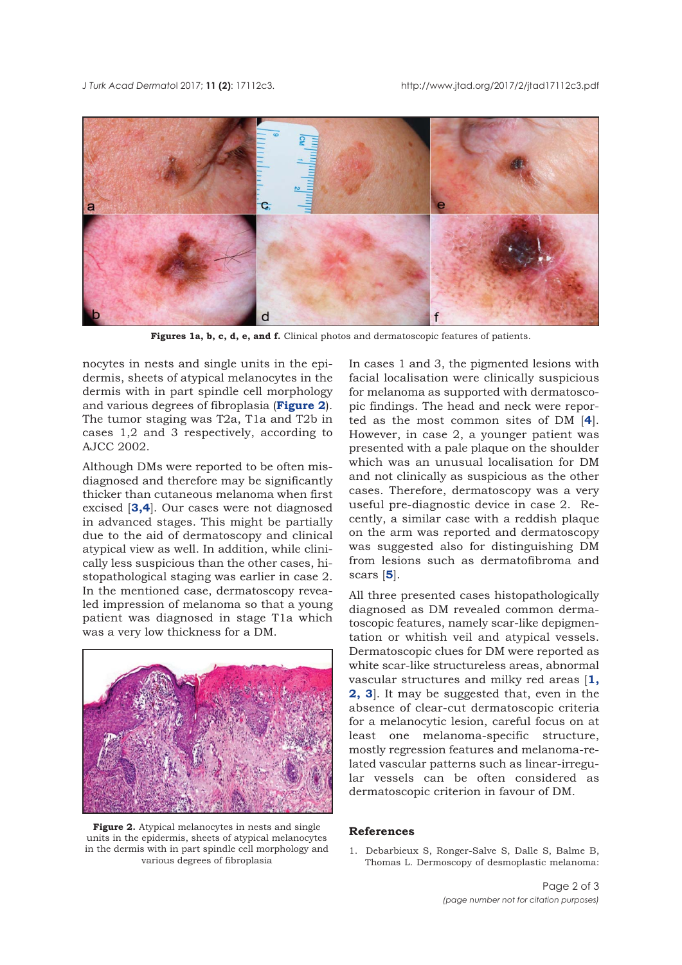<span id="page-1-0"></span>

Figures 1a, b, c, d, e, and f. Clinical photos and dermatoscopic features of patients.

nocytes in nests and single units in the epidermis, sheets of atypical melanocytes in the dermis with in part spindle cell morphology and various degrees of fibroplasia (**Figure 2**). The tumor staging was T2a, T1a and T2b in cases 1,2 and 3 respectively, according to AJCC 2002.

Although DMs were reported to be often misdiagnosed and therefore may be significantly thicker than cutaneous melanoma when first excised [**[3](#page-2-0),[4](#page-2-0)**]. Our cases were not diagnosed in advanced stages. This might be partially due to the aid of dermatoscopy and clinical atypical view as well. In addition, while clinically less suspicious than the other cases, histopathological staging was earlier in case 2. In the mentioned case, dermatoscopy revealed impression of melanoma so that a young patient was diagnosed in stage T1a which was a very low thickness for a DM.



**Figure 2.** Atypical melanocytes in nests and single units in the epidermis, sheets of atypical melanocytes in the dermis with in part spindle cell morphology and various degrees of fibroplasia

In cases 1 and 3, the pigmented lesions with facial localisation were clinically suspicious for melanoma as supported with dermatoscopic findings. The head and neck were reported as the most common sites of DM [**4**]. However, in case 2, a younger patient was presented with a pale plaque on the shoulder which was an unusual localisation for DM and not clinically as suspicious as the other cases. Therefore, dermatoscopy was a very useful pre-diagnostic device in case 2. Recently, a similar case with a reddish plaque on the arm was reported and dermatoscopy was suggested also for distinguishing DM from lesions such as dermatofibroma and scars [**[5](#page-2-0)**].

All three presented cases histopathologically diagnosed as DM revealed common dermatoscopic features, namely scar-like depigmentation or whitish veil and atypical vessels. Dermatoscopic clues for DM were reported as white scar-like structureless areas, abnormal vascular structures and milky red areas [**1, [2](#page-2-0), [3](#page-2-0)**]. It may be suggested that, even in the absence of clear-cut dermatoscopic criteria for a melanocytic lesion, careful focus on at least one melanoma-specific structure, mostly regression features and melanoma-related vascular patterns such as linear-irregular vessels can be often considered as dermatoscopic criterion in favour of DM.

#### **References**

1. Debarbieux S, Ronger-Salve S, Dalle S, Balme B, Thomas L. Dermoscopy of desmoplastic melanoma: